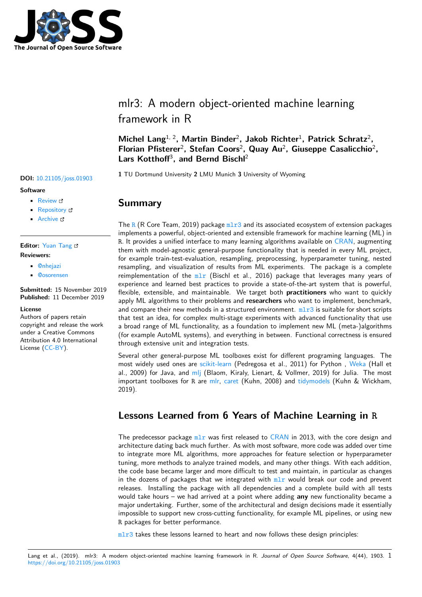

# mlr3: A modern object-oriented machine learning framework in R

**Michel Lang**1, 2**, Martin Binder**<sup>2</sup> **, Jakob Richter**<sup>1</sup> **, Patrick Schratz**<sup>2</sup> **,** Florian Pfisterer<sup>2</sup>, Stefan Coors<sup>2</sup>, Quay Au<sup>2</sup>, Giuseppe Casalicchio<sup>2</sup>, **Lars Kotthoff**<sup>3</sup> **, and Bernd Bischl**<sup>2</sup>

**<sup>1</sup>** TU Dortmund University **<sup>2</sup>** LMU Munich **<sup>3</sup>** University of Wyoming **DOI:** 10.21105/joss.01903

## **Summary**

The R (R Core Team, 2019) package  $m1r3$  and its associated ecosystem of extension packages implements a powerful, object-oriented and extensible framework for machine learning (ML) in R. It provides a unified interface to many learning algorithms available on CRAN, augmenting them with model-agnostic general-purpose functionality that is needed in every ML project, for [ex](https://www.r-project.org/)ample train-test-evaluation, re[sampl](https://mlr3.mlr-org.com)ing, preprocessing, hyperparameter tuning, nested resampling, and visualization of results from ML experiments. The package is a complete reimplementation of the  $m\text{ln}x$  (Bischl et al., 2016) package that lever[ages m](https://cran.r-project.org/)any years of experience and learned best practices to provide a state-of-the-art system that is powerful, flexible, extensible, and maintainable. We target both **practitioners** who want to quickly apply ML algorithms to their problems and **researchers** who want to implement, benchmark, and compare their new m[ethod](https://mlr.mlr-org.com)s in a structured environment.  $m1r3$  is suitable for short scripts that test an idea, for complex multi-stage experiments with advanced functionality that use a broad range of ML functionality, as a foundation to implement new ML (meta-)algorithms (for example AutoML systems), and everything in between. Functional correctness is ensured through extensive unit and integration tests.

Several other general-purpose ML toolboxes exist for different programing languages. The most widely used ones are scikit-learn (Pedregosa et al., 2011) for Python , Weka (Hall et al., 2009) for Java, and mlj (Blaom, Kiraly, Lienart, & Vollmer, 2019) for Julia. The most important toolboxes for R are mlr, caret (Kuhn, 2008) and tidymodels (Kuhn & Wickham, 2019).

## **Lessons Learne[d fr](https://github.com/alan-turing-institute/MLJ.jl)[om](https://cran.r-project.org/package=mlr) [6 Ye](https://cran.r-project.org/package=caret)ars of Mac[hine Lea](https://cran.r-project.org/package=tidymodels)rning in R**

The predecessor package  $mlr$  was first released to CRAN in 2013, with the core design and architecture dating back much further. As with most software, more code was added over time to integrate more ML algorithms, more approaches for feature selection or hyperparameter tuning, more methods to analyze trained models, and many other things. With each addition, the code base became lar[ger a](https://mlr.mlr-org.com)nd more difficult to t[est and](https://cran.r-project.org/) maintain, in particular as changes in the dozens of packages that we integrated with  $m\ln x$  would break our code and prevent releases. Installing the package with all dependencies and a complete build with all tests would take hours – we had arrived at a point where adding **any** new functionality became a major undertaking. Further, some of the architectural and design decisions made it essentially impossible to support new cross-cutting functionality[, for](https://mlr.mlr-org.com) example ML pipelines, or using new R packages for better performance.

 $m1r3$  takes these lessons learned to heart and now follows these design principles:

#### Lang et al., (2019). mlr3: A modern object-oriented machine learning framework in R. *Journal of Open Source Software*, 4(44), 1903. 1https://doi.org/10.21105/joss.0190[3](https://mlr3.mlr-org.com)

#### **Software**

- Review C
- [Repository](https://doi.org/10.21105/joss.01903) &
- Archive

### **Editor:** [Yuan Tan](https://github.com/mlr-org/mlr3)g **Revie[wers:](https://doi.org/10.5281/zenodo.3569963)**

- - @nhejazi • @[osorensen](https://terrytangyuan.github.io/about/)
- 

**Submitted:** 15 November 2019 **Publi[shed:](https://github.com/nhejazi)** 11 December 2019

#### **Licen[se](https://github.com/osorensen)**

Authors of papers retain copyright and release the work under a Creative Commons Attribution 4.0 International License (CC-BY).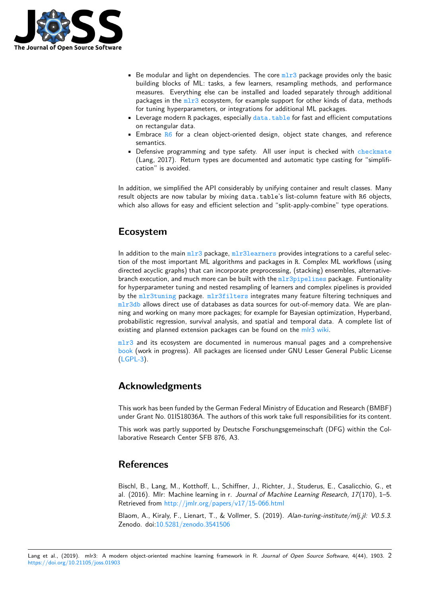

- **•** Be modular and light on dependencies. The core  $m\ln 3$  package provides only the basic building blocks of ML: tasks, a few learners, resampling methods, and performance measures. Everything else can be installed and loaded separately through additional packages in the  $m1r3$  ecosystem, for example support for other kinds of data, methods for tuning hyperparameters, or integrations for a[ddition](https://mlr3.mlr-org.com)al ML packages.
- **•** Leverage modern R packages, especially data.table for fast and efficient computations on rectangular data.
- **Embrace R6** for [a cle](https://mlr3.mlr-org.com)an object-oriented design, object state changes, and reference semantics.
- Defensive programming and type safet[y. All user i](https://rdatatable.gitlab.io/data.table/)nput is checked with checkmate (Lang, 2017). Return types are documented and automatic type casting for "simplification" is [av](https://cran.r-project.org/package=R6)oided.

In addition, we simplified the API considerably by unifying container and result cl[asses. Many](https://cran.r-project.org/package=checkmate) result objects are now tabular by mixing data.table's list-column feature with R6 objects, which also allows for easy and efficient selection and "split-apply-combine" type operations.

## **Ecosystem**

In addition to the main  $m1r3$  package,  $m1r3$  learners provides integrations to a careful selection of the most important ML algorithms and packages in R. Complex ML workflows (using directed acyclic graphs) that can incorporate preprocessing, (stacking) ensembles, alternativebranch execution, and much more can be built with the mlr3pipelines package. Funtionality for hyperparameter tun[ing an](https://cran.r-project.org/package=mlr3)d nested [resampling of lea](https://cran.r-project.org/package=mlr3learners)rners and complex pipelines is provided by the mlr3tuning package. mlr3filters integrates many feature filtering techniques and mlr3db allows direct use of databases as data sources for out-of-memory data. We are planning and working on many more packages; for example [for Bayesian opt](https://cran.r-project.org/package=mlr3pipelines)imization, Hyperband, probabilistic regression, survival analysis, and spatial and temporal data. A complete list of existin[g and planned](https://cran.r-project.org/package=mlr3tuning) extensio[n packages can](https://cran.r-project.org/package=mlr3filters) be found on the mlr3 wiki.

 $m1r3$  and its ecosystem are documented in numerous manual pages and a comprehensive book (work in progress). All packages are licensed under GNU Lesser General Public License (LGPL-3).

## **[Ack](https://mlr3book.mlr-org.com)[no](https://www.gnu.org/licenses/lgpl-3.0.en.html)wledgments**

This work has been funded by the German Federal Ministry of Education and Research (BMBF) under Grant No. 01IS18036A. The authors of this work take full responsibilities for its content.

This work was partly supported by Deutsche Forschungsgemeinschaft (DFG) within the Collaborative Research Center SFB 876, A3.

## **References**

Bischl, B., Lang, M., Kotthoff, L., Schiffner, J., Richter, J., Studerus, E., Casalicchio, G., et al. (2016). Mlr: Machine learning in r. *Journal of Machine Learning Research*, *17*(170), 1–5. Retrieved from http://jmlr.org/papers/v17/15-066.html

Blaom, A., Kiraly, F., Lienart, T., & Vollmer, S. (2019). *Alan-turing-institute/mlj.jl: V0.5.3*. Zenodo. doi:10.5281/zenodo.3541506